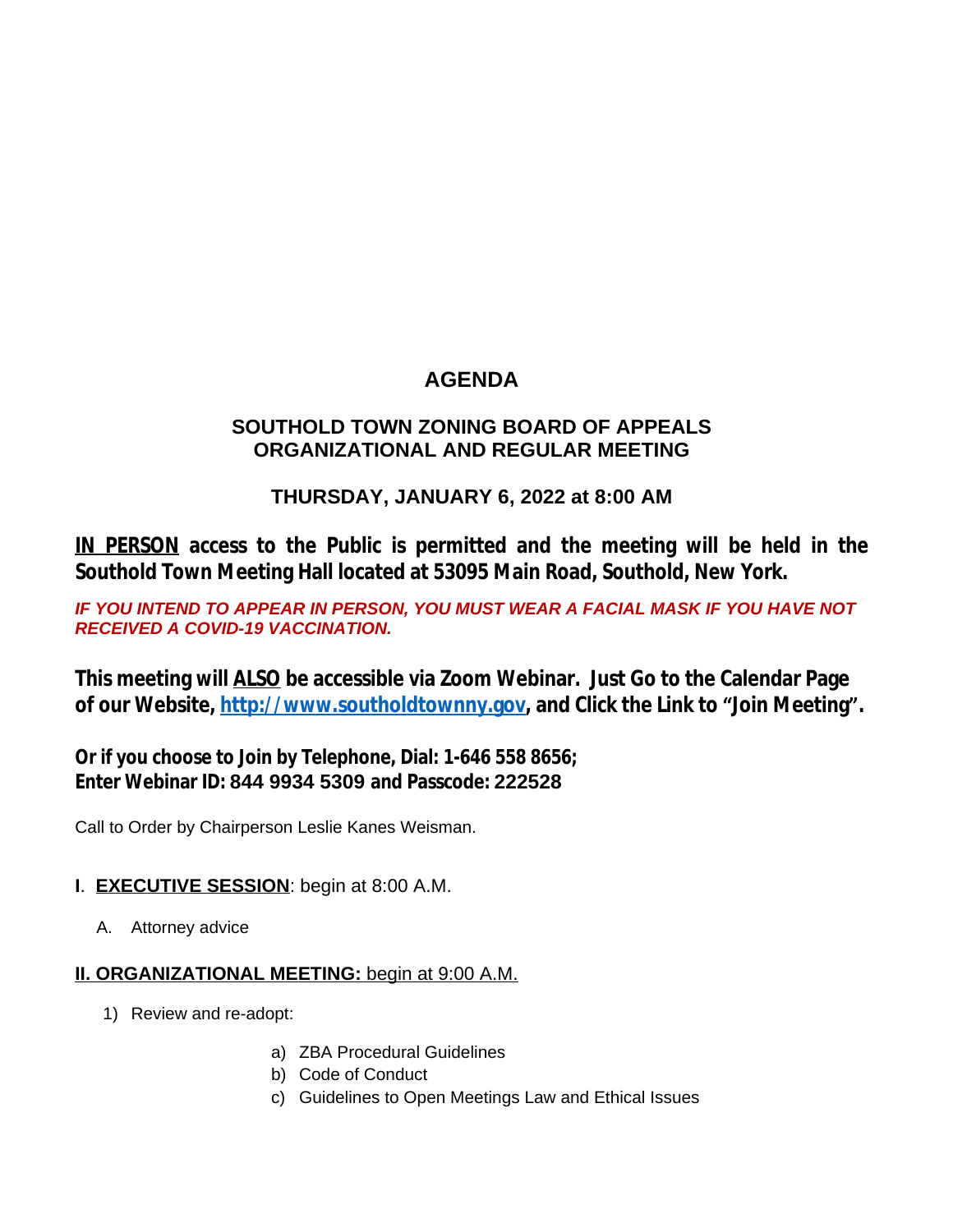# **AGENDA**

### **SOUTHOLD TOWN ZONING BOARD OF APPEALS ORGANIZATIONAL AND REGULAR MEETING**

## **THURSDAY, JANUARY 6, 2022 at 8:00 AM**

**IN PERSON access to the Public is permitted and the meeting will be held in the Southold Town Meeting Hall located at 53095 Main Road, Southold, New York.**

**IF YOU INTEND TO APPEAR IN PERSON, YOU MUST WEAR A FACIAL MASK IF YOU HAVE NOT** *RECEIVED A COVID-19 VACCINATION.* 

**This meeting will ALSO be accessible via Zoom Webinar. Just Go to the Calendar Page of our Website, [http://www.southoldtownny.gov,](http://www.southoldtownny.gov) and Click the Link to "Join Meeting".**

**Or if you choose to Join by Telephone, Dial: 1-646 558 8656; Enter Webinar ID: 844 9934 5309 and Passcode: 222528**

Call to Order by Chairperson Leslie Kanes Weisman.

- **I**. **EXECUTIVE SESSION**: begin at 8:00 A.M.
	- A. Attorney advice

### **II. ORGANIZATIONAL MEETING:** begin at 9:00 A.M.

- 1) Review and re-adopt:
	- a) ZBA Procedural Guidelines
	- b) Code of Conduct
	- c) Guidelines to Open Meetings Law and Ethical Issues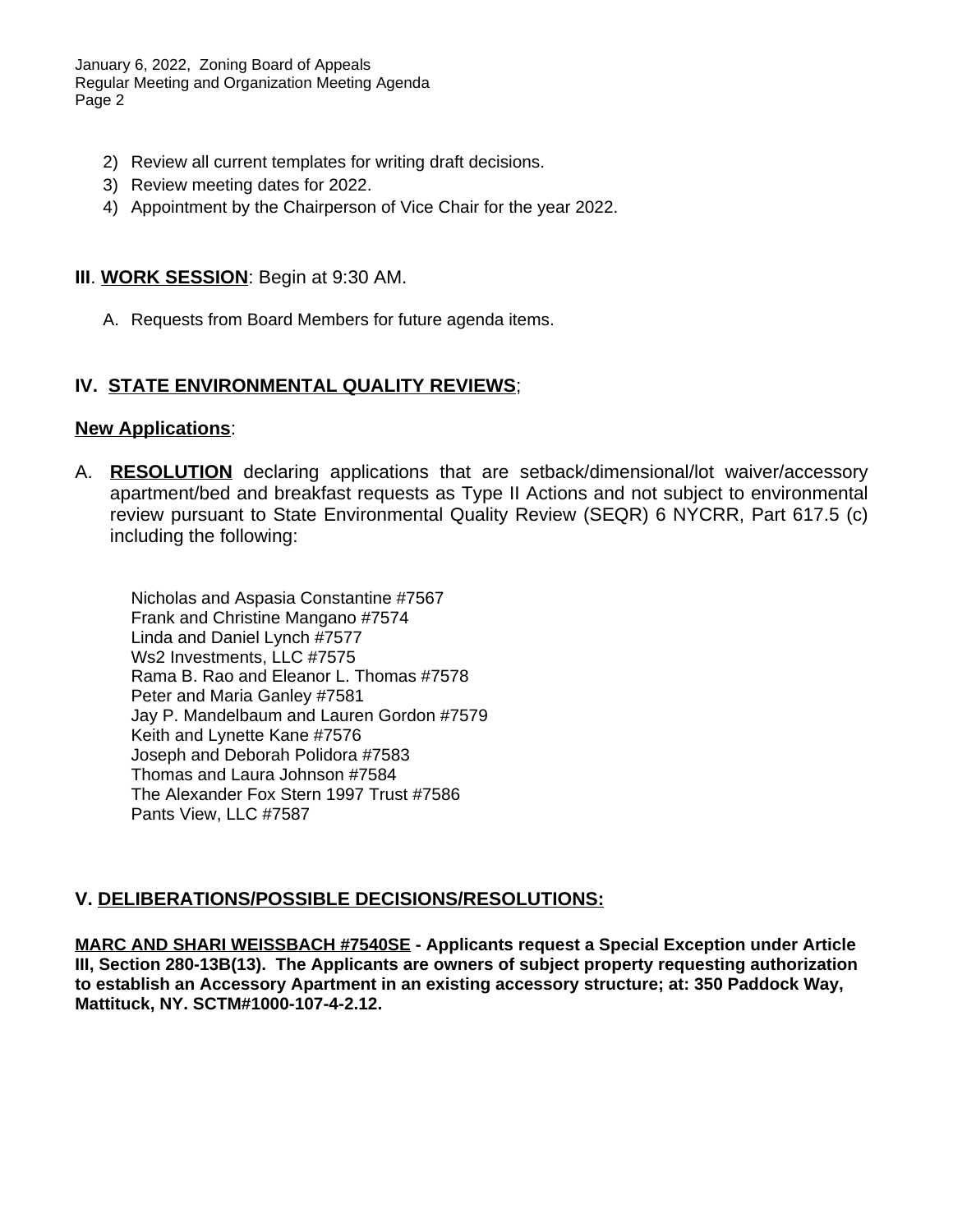January 6, 2022, Zoning Board of Appeals Regular Meeting and Organization Meeting Agenda Page 2

- 2) Review all current templates for writing draft decisions.
- 3) Review meeting dates for 2022.
- 4) Appointment by the Chairperson of Vice Chair for the year 2022.

#### **III**. **WORK SESSION**: Begin at 9:30 AM.

A. Requests from Board Members for future agenda items.

#### **IV. STATE ENVIRONMENTAL QUALITY REVIEWS**;

#### **New Applications**:

A. **RESOLUTION** declaring applications that are setback/dimensional/lot waiver/accessory apartment/bed and breakfast requests as Type II Actions and not subject to environmental review pursuant to State Environmental Quality Review (SEQR) 6 NYCRR, Part 617.5 (c) including the following:

Nicholas and Aspasia Constantine #7567 Frank and Christine Mangano #7574 Linda and Daniel Lynch #7577 Ws2 Investments, LLC #7575 Rama B. Rao and Eleanor L. Thomas #7578 Peter and Maria Ganley #7581 Jay P. Mandelbaum and Lauren Gordon #7579 Keith and Lynette Kane #7576 Joseph and Deborah Polidora #7583 Thomas and Laura Johnson #7584 The Alexander Fox Stern 1997 Trust #7586 Pants View, LLC #7587

#### **V. DELIBERATIONS/POSSIBLE DECISIONS/RESOLUTIONS:**

**MARC AND SHARI WEISSBACH #7540SE - Applicants request a Special Exception under Article III, Section 280-13B(13). The Applicants are owners of subject property requesting authorization to establish an Accessory Apartment in an existing accessory structure; at: 350 Paddock Way, Mattituck, NY. SCTM#1000-107-4-2.12.**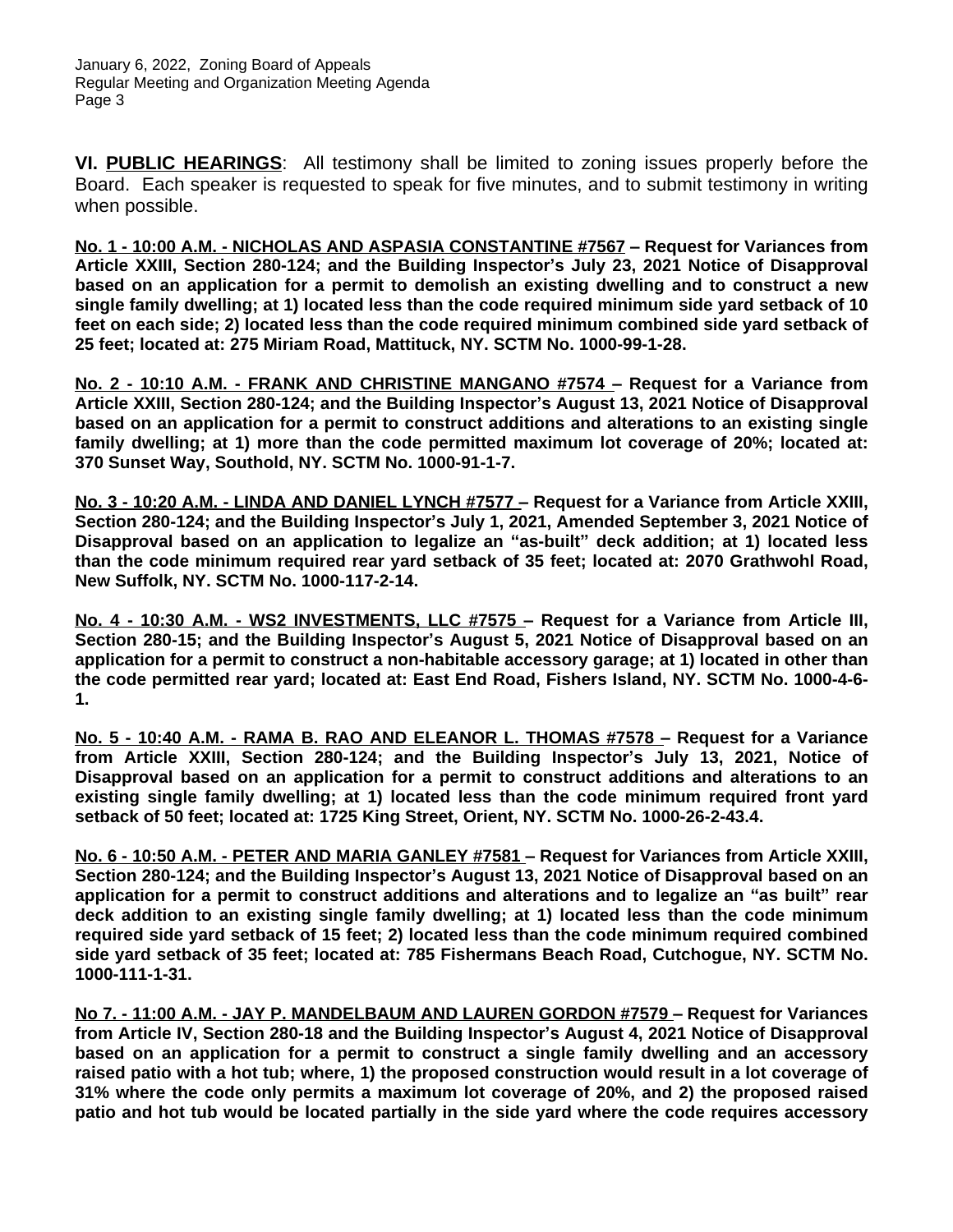**VI. PUBLIC HEARINGS**: All testimony shall be limited to zoning issues properly before the Board. Each speaker is requested to speak for five minutes, and to submit testimony in writing when possible.

**No. 1 - 10:00 A.M. - NICHOLAS AND ASPASIA CONSTANTINE #7567 – Request for Variances from Article XXIII, Section 280-124; and the Building Inspector's July 23, 2021 Notice of Disapproval based on an application for a permit to demolish an existing dwelling and to construct a new single family dwelling; at 1) located less than the code required minimum side yard setback of 10 feet on each side; 2) located less than the code required minimum combined side yard setback of 25 feet; located at: 275 Miriam Road, Mattituck, NY. SCTM No. 1000-99-1-28.**

**No. 2 - 10:10 A.M. - FRANK AND CHRISTINE MANGANO #7574 – Request for a Variance from Article XXIII, Section 280-124; and the Building Inspector's August 13, 2021 Notice of Disapproval based on an application for a permit to construct additions and alterations to an existing single family dwelling; at 1) more than the code permitted maximum lot coverage of 20%; located at: 370 Sunset Way, Southold, NY. SCTM No. 1000-91-1-7.**

**No. 3 - 10:20 A.M. - LINDA AND DANIEL LYNCH #7577 – Request for a Variance from Article XXIII, Section 280-124; and the Building Inspector's July 1, 2021, Amended September 3, 2021 Notice of Disapproval based on an application to legalize an "as-built" deck addition; at 1) located less than the code minimum required rear yard setback of 35 feet; located at: 2070 Grathwohl Road, New Suffolk, NY. SCTM No. 1000-117-2-14.**

**No. 4 - 10:30 A.M. - WS2 INVESTMENTS, LLC #7575 – Request for a Variance from Article III, Section 280-15; and the Building Inspector's August 5, 2021 Notice of Disapproval based on an application for a permit to construct a non-habitable accessory garage; at 1) located in other than the code permitted rear yard; located at: East End Road, Fishers Island, NY. SCTM No. 1000-4-6- 1.**

**No. 5 - 10:40 A.M. - RAMA B. RAO AND ELEANOR L. THOMAS #7578 – Request for a Variance from Article XXIII, Section 280-124; and the Building Inspector's July 13, 2021, Notice of Disapproval based on an application for a permit to construct additions and alterations to an existing single family dwelling; at 1) located less than the code minimum required front yard setback of 50 feet; located at: 1725 King Street, Orient, NY. SCTM No. 1000-26-2-43.4.**

**No. 6 - 10:50 A.M. - PETER AND MARIA GANLEY #7581 – Request for Variances from Article XXIII, Section 280-124; and the Building Inspector's August 13, 2021 Notice of Disapproval based on an application for a permit to construct additions and alterations and to legalize an "as built" rear deck addition to an existing single family dwelling; at 1) located less than the code minimum required side yard setback of 15 feet; 2) located less than the code minimum required combined side yard setback of 35 feet; located at: 785 Fishermans Beach Road, Cutchogue, NY. SCTM No. 1000-111-1-31.**

**No 7. - 11:00 A.M. - JAY P. MANDELBAUM AND LAUREN GORDON #7579 – Request for Variances from Article IV, Section 280-18 and the Building Inspector's August 4, 2021 Notice of Disapproval based on an application for a permit to construct a single family dwelling and an accessory raised patio with a hot tub; where, 1) the proposed construction would result in a lot coverage of 31% where the code only permits a maximum lot coverage of 20%, and 2) the proposed raised patio and hot tub would be located partially in the side yard where the code requires accessory**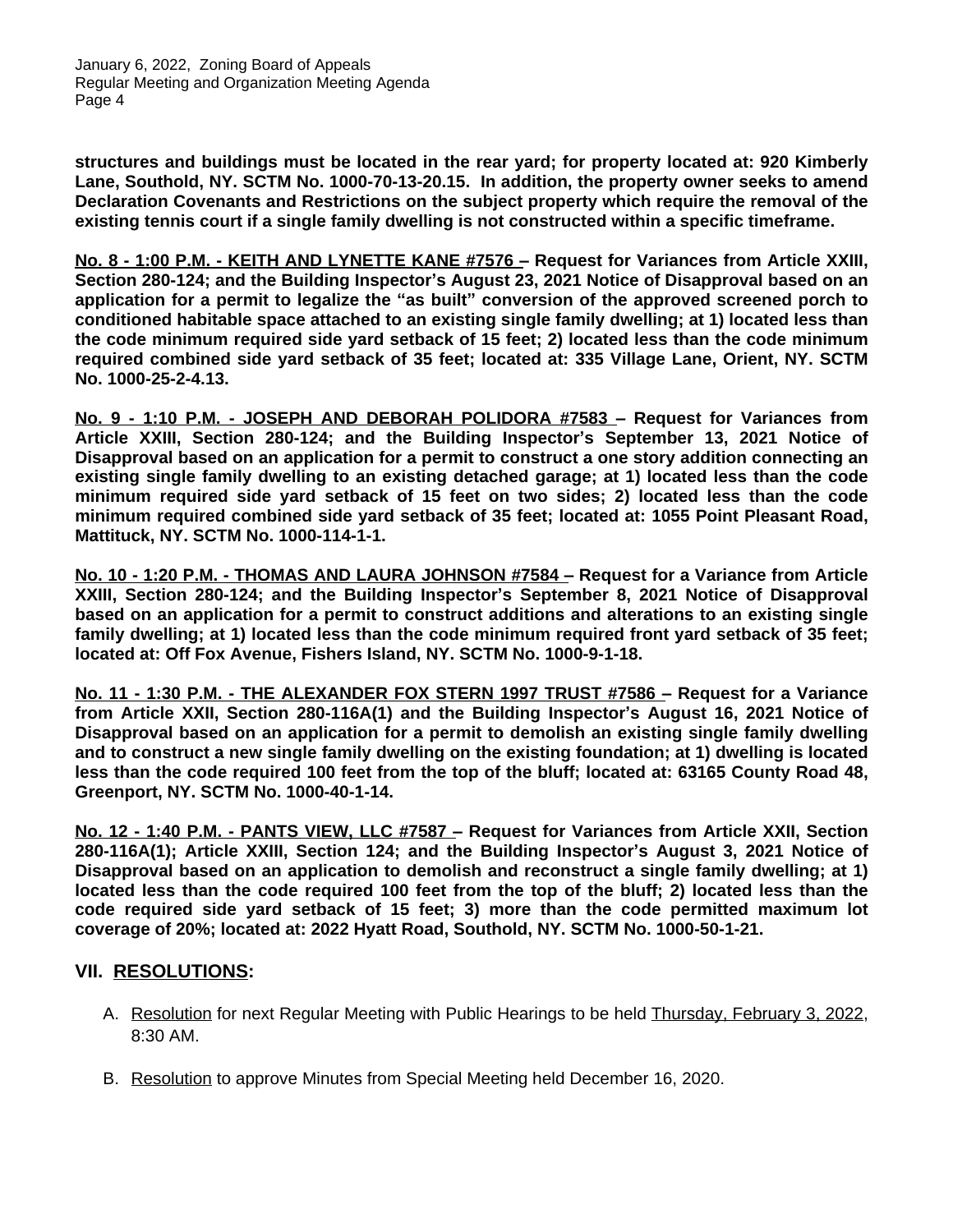January 6, 2022, Zoning Board of Appeals Regular Meeting and Organization Meeting Agenda Page 4

**structures and buildings must be located in the rear yard; for property located at: 920 Kimberly Lane, Southold, NY. SCTM No. 1000-70-13-20.15. In addition, the property owner seeks to amend Declaration Covenants and Restrictions on the subject property which require the removal of the existing tennis court if a single family dwelling is not constructed within a specific timeframe.**

**No. 8 - 1:00 P.M. - KEITH AND LYNETTE KANE #7576 – Request for Variances from Article XXIII, Section 280-124; and the Building Inspector's August 23, 2021 Notice of Disapproval based on an application for a permit to legalize the "as built" conversion of the approved screened porch to conditioned habitable space attached to an existing single family dwelling; at 1) located less than the code minimum required side yard setback of 15 feet; 2) located less than the code minimum required combined side yard setback of 35 feet; located at: 335 Village Lane, Orient, NY. SCTM No. 1000-25-2-4.13.**

**No. 9 - 1:10 P.M. - JOSEPH AND DEBORAH POLIDORA #7583 – Request for Variances from Article XXIII, Section 280-124; and the Building Inspector's September 13, 2021 Notice of Disapproval based on an application for a permit to construct a one story addition connecting an existing single family dwelling to an existing detached garage; at 1) located less than the code minimum required side yard setback of 15 feet on two sides; 2) located less than the code minimum required combined side yard setback of 35 feet; located at: 1055 Point Pleasant Road, Mattituck, NY. SCTM No. 1000-114-1-1.**

**No. 10 - 1:20 P.M. - THOMAS AND LAURA JOHNSON #7584 – Request for a Variance from Article XXIII, Section 280-124; and the Building Inspector's September 8, 2021 Notice of Disapproval based on an application for a permit to construct additions and alterations to an existing single family dwelling; at 1) located less than the code minimum required front yard setback of 35 feet; located at: Off Fox Avenue, Fishers Island, NY. SCTM No. 1000-9-1-18.**

**No. 11 - 1:30 P.M. - THE ALEXANDER FOX STERN 1997 TRUST #7586 – Request for a Variance from Article XXII, Section 280-116A(1) and the Building Inspector's August 16, 2021 Notice of Disapproval based on an application for a permit to demolish an existing single family dwelling and to construct a new single family dwelling on the existing foundation; at 1) dwelling is located** less than the code required 100 feet from the top of the bluff; located at: 63165 County Road 48, **Greenport, NY. SCTM No. 1000-40-1-14.**

**No. 12 - 1:40 P.M. - PANTS VIEW, LLC #7587 – Request for Variances from Article XXII, Section 280-116A(1); Article XXIII, Section 124; and the Building Inspector's August 3, 2021 Notice of Disapproval based on an application to demolish and reconstruct a single family dwelling; at 1)** located less than the code required 100 feet from the top of the bluff; 2) located less than the **code required side yard setback of 15 feet; 3) more than the code permitted maximum lot coverage of 20%; located at: 2022 Hyatt Road, Southold, NY. SCTM No. 1000-50-1-21.**

#### **VII. RESOLUTIONS:**

- A. Resolution for next Regular Meeting with Public Hearings to be held Thursday, February 3, 2022, 8:30 AM.
- B. Resolution to approve Minutes from Special Meeting held December 16, 2020.